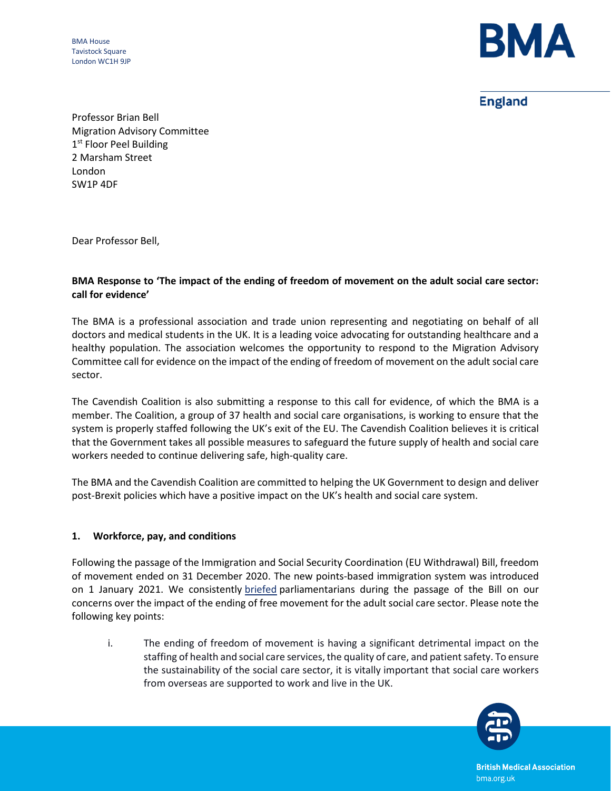BMA House Tavistock Square London WC1H 9JP



**England** 

Professor Brian Bell Migration Advisory Committee 1<sup>st</sup> Floor Peel Building 2 Marsham Street London SW1P 4DF

Dear Professor Bell,

## **BMA Response to 'The impact of the ending of freedom of movement on the adult social care sector: call for evidence'**

The BMA is a professional association and trade union representing and negotiating on behalf of all doctors and medical students in the UK. It is a leading voice advocating for outstanding healthcare and a healthy population. The association welcomes the opportunity to respond to the Migration Advisory Committee call for evidence on the impact of the ending of freedom of movement on the adult social care sector.

The Cavendish Coalition is also submitting a response to this call for evidence, of which the BMA is a member. The Coalition, a group of 37 health and social care organisations, is working to ensure that the system is properly staffed following the UK's exit of the EU. The Cavendish Coalition believes it is critical that the Government takes all possible measures to safeguard the future supply of health and social care workers needed to continue delivering safe, high-quality care.

The BMA and the Cavendish Coalition are committed to helping the UK Government to design and deliver post-Brexit policies which have a positive impact on the UK's health and social care system.

## **1. Workforce, pay, and conditions**

Following the passage of the Immigration and Social Security Coordination (EU Withdrawal) Bill, freedom of movement ended on 31 December 2020. The new points-based immigration system was introduced on 1 January 2021. We consistently [briefed](https://www.bma.org.uk/media/3345/bma-briefing-immigration-bill-lords-report-stage-september-2020.pdf) parliamentarians during the passage of the Bill on our concerns over the impact of the ending of free movement for the adult social care sector. Please note the following key points:

i. The ending of freedom of movement is having a significant detrimental impact on the staffing of health and social care services, the quality of care, and patient safety. To ensure the sustainability of the social care sector, it is vitally important that social care workers from overseas are supported to work and live in the UK.



**British Medical Association** bma.org.uk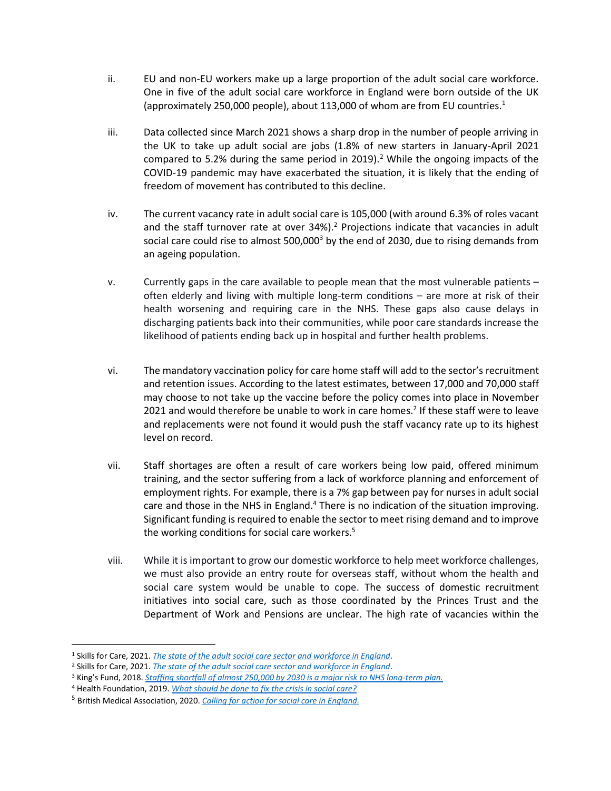- ii. EU and non-EU workers make up a large proportion of the adult social care workforce. One in five of the adult social care workforce in England were born outside of the UK (approximately 250,000 people), about 113,000 of whom are from EU countries.<sup>1</sup>
- iii. Data collected since March 2021 shows a sharp drop in the number of people arriving in the UK to take up adult social are jobs (1.8% of new starters in January-April 2021 compared to 5[.](#page-1-0)2% during the same period in 2019).<sup>2</sup> While the ongoing impacts of the COVID-19 pandemic may have exacerbated the situation, it is likely that the ending of freedom of movement has contributed to this decline.
- <span id="page-1-0"></span>iv. The current vacancy rate in adult social care is 105,000 (with around 6.3% of roles vacant and the staff turnover rate at over 34%).<sup>2</sup> Projections indicate that vacancies in adult social care could rise to almost  $500,000^3$  by the end of 2030, due to rising demands from an ageing population.
- v. Currently gaps in the care available to people mean that the most vulnerable patients often elderly and living with multiple long-term conditions – are more at risk of their health worsening and requiring care in the NHS. These gaps also cause delays in discharging patients back into their communities, while poor care standards increase the likelihood of patients ending back up in hospital and further health problems.
- vi. The mandatory vaccination policy for care home staff will add to the sector's recruitment and retention issues. According to the latest estimates, between 17,000 and 70,000 staff may choose to not take up the vaccine before the policy comes into place in November 2021 and would therefore be unable to work in care homes[.](#page-1-0)<sup>2</sup> If these staff were to leave and replacements were not found it would push the staff vacancy rate up to its highest level on record.
- vii. Staff shortages are often a result of care workers being low paid, offered minimum training, and the sector suffering from a lack of workforce planning and enforcement of employment rights. For example, there is a 7% gap between pay for nurses in adult social care and those in the NHS in England. $4$  There is no indication of the situation improving. Significant funding is required to enable the sector to meet rising demand and to improve the working conditions for social care workers.<sup>5</sup>
- viii. While it is important to grow our domestic workforce to help meet workforce challenges, we must also provide an entry route for overseas staff, without whom the health and social care system would be unable to cope. The success of domestic recruitment initiatives into social care, such as those coordinated by the Princes Trust and the Department of Work and Pensions are unclear. The high rate of vacancies within the

<sup>1</sup> Skills for Care, 2021. *[The state of the adult social care sector and workforce in England.](https://www.skillsforcare.org.uk/adult-social-care-workforce-data/Workforce-intelligence/documents/State-of-the-adult-social-care-sector/The-State-of-the-Adult-Social-Care-Sector-and-Workforce-2021.pdf)*

<sup>2</sup> Skills for Care, 2021. *[The state of the adult social care sector and workforce in England.](https://www.skillsforcare.org.uk/adult-social-care-workforce-data/Workforce-intelligence/documents/State-of-the-adult-social-care-sector/The-State-of-the-Adult-Social-Care-Sector-and-Workforce-2021.pdf)*

<sup>3</sup> King's Fund, 2018. *[Staffing shortfall of almost 250,000 by 2030 is a major risk to](https://www.kingsfund.org.uk/press/press-releases/staffing-shortfall-major-risk-nhs-long-term-plan) NHS long-term plan.*

<sup>4</sup> Health Foundation, 2019. *[What should be done to fix the crisis in social care?](https://www.health.org.uk/publications/long-reads/what-should-be-done-to-fix-the-crisis-in-social-care)*

<sup>5</sup> British Medical Association, 2020. *[Calling for action for social care in England.](https://www.bma.org.uk/media/3216/bma-calling-for-action-for-social-care-in-england-report-sept-2020.pdf)*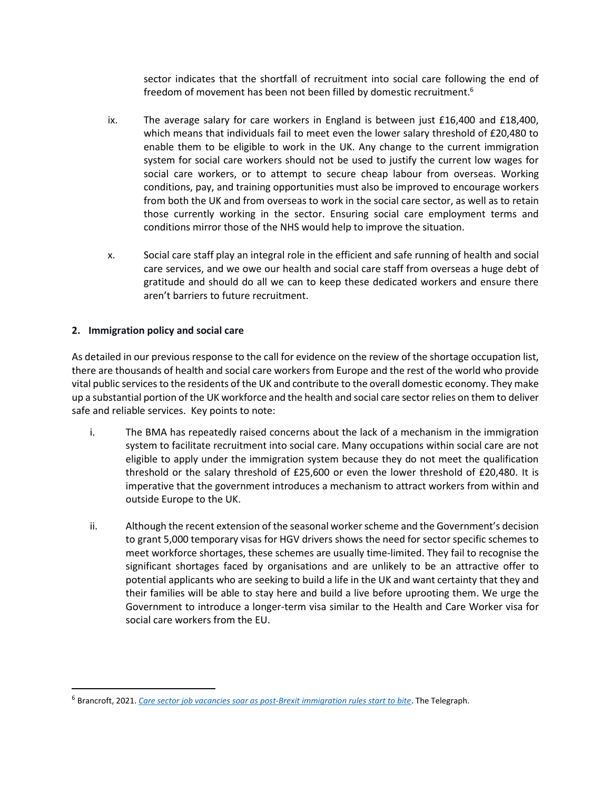sector indicates that the shortfall of recruitment into social care following the end of freedom of movement has been not been filled by domestic recruitment.<sup>6</sup>

- ix. The average salary for care workers in England is between just £16,400 and £18,400, which means that individuals fail to meet even the lower salary threshold of £20,480 to enable them to be eligible to work in the UK. Any change to the current immigration system for social care workers should not be used to justify the current low wages for social care workers, or to attempt to secure cheap labour from overseas. Working conditions, pay, and training opportunities must also be improved to encourage workers from both the UK and from overseas to work in the social care sector, as well as to retain those currently working in the sector. Ensuring social care employment terms and conditions mirror those of the NHS would help to improve the situation.
- x. Social care staff play an integral role in the efficient and safe running of health and social care services, and we owe our health and social care staff from overseas a huge debt of gratitude and should do all we can to keep these dedicated workers and ensure there aren't barriers to future recruitment.

## **2. Immigration policy and social care**

As detailed in our previous response to the call for evidence on the review of the shortage occupation list, there are thousands of health and social care workers from Europe and the rest of the world who provide vital public services to the residents of the UK and contribute to the overall domestic economy. They make up a substantial portion of the UK workforce and the health and social care sector relies on them to deliver safe and reliable services. Key points to note:

- i. The BMA has repeatedly raised concerns about the lack of a mechanism in the immigration system to facilitate recruitment into social care. Many occupations within social care are not eligible to apply under the immigration system because they do not meet the qualification threshold or the salary threshold of £25,600 or even the lower threshold of £20,480. It is imperative that the government introduces a mechanism to attract workers from within and outside Europe to the UK.
- ii. Although the recent extension of the seasonal worker scheme and the Government's decision to grant 5,000 temporary visas for HGV drivers shows the need for sector specific schemes to meet workforce shortages, these schemes are usually time-limited. They fail to recognise the significant shortages faced by organisations and are unlikely to be an attractive offer to potential applicants who are seeking to build a life in the UK and want certainty that they and their families will be able to stay here and build a live before uprooting them. We urge the Government to introduce a longer-term visa similar to the Health and Care Worker visa for social care workers from the EU.

<sup>6</sup> Brancroft, 2021. *Care sector job vacancies soar as [post-Brexit immigration rules start to bite](https://www.independent.co.uk/news/care-sector-job-vacancies-brexit-b1926167.html)*. The Telegraph.